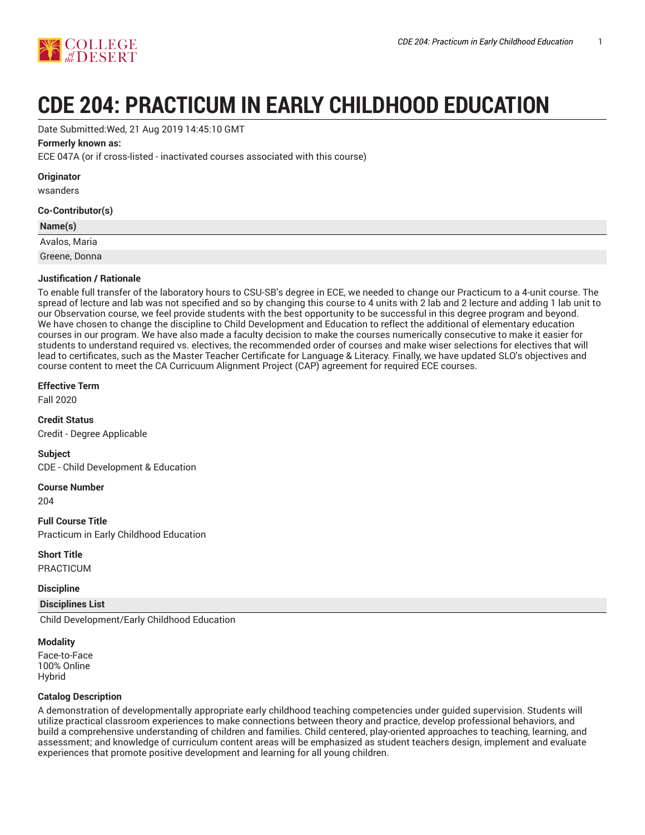

# **CDE 204: PRACTICUM IN EARLY CHILDHOOD EDUCATION**

Date Submitted:Wed, 21 Aug 2019 14:45:10 GMT

# **Formerly known as:**

ECE 047A (or if cross-listed - inactivated courses associated with this course)

# **Originator**

wsanders

# **Co-Contributor(s)**

| Name(s)       |  |
|---------------|--|
| Avalos, Maria |  |
| Greene, Donna |  |

# **Justification / Rationale**

To enable full transfer of the laboratory hours to CSU-SB's degree in ECE, we needed to change our Practicum to a 4-unit course. The spread of lecture and lab was not specified and so by changing this course to 4 units with 2 lab and 2 lecture and adding 1 lab unit to our Observation course, we feel provide students with the best opportunity to be successful in this degree program and beyond. We have chosen to change the discipline to Child Development and Education to reflect the additional of elementary education courses in our program. We have also made a faculty decision to make the courses numerically consecutive to make it easier for students to understand required vs. electives, the recommended order of courses and make wiser selections for electives that will lead to certificates, such as the Master Teacher Certificate for Language & Literacy. Finally, we have updated SLO's objectives and course content to meet the CA Curricuum Alignment Project (CAP) agreement for required ECE courses.

# **Effective Term**

Fall 2020

**Credit Status**

Credit - Degree Applicable

**Subject**

CDE - Child Development & Education

**Course Number**

204

**Full Course Title**

Practicum in Early Childhood Education

# **Short Title**

PRACTICUM

# **Discipline**

**Disciplines List**

Child Development/Early Childhood Education

# **Modality**

Face-to-Face 100% Online Hybrid

# **Catalog Description**

A demonstration of developmentally appropriate early childhood teaching competencies under guided supervision. Students will utilize practical classroom experiences to make connections between theory and practice, develop professional behaviors, and build a comprehensive understanding of children and families. Child centered, play-oriented approaches to teaching, learning, and assessment; and knowledge of curriculum content areas will be emphasized as student teachers design, implement and evaluate experiences that promote positive development and learning for all young children.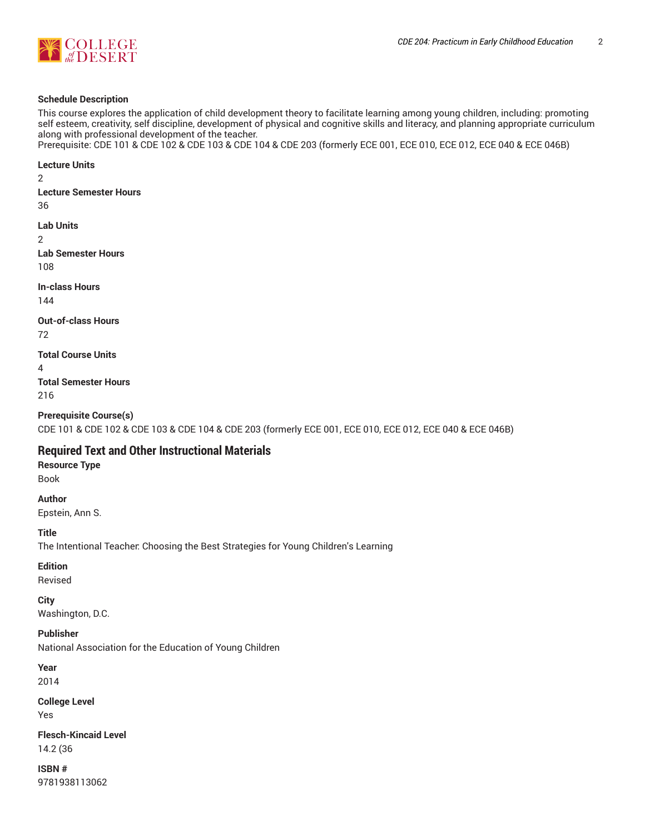

# **Schedule Description**

This course explores the application of child development theory to facilitate learning among young children, including: promoting self esteem, creativity, self discipline, development of physical and cognitive skills and literacy, and planning appropriate curriculum along with professional development of the teacher.

Prerequisite: CDE 101 & CDE 102 & CDE 103 & CDE 104 & CDE 203 (formerly ECE 001, ECE 010, ECE 012, ECE 040 & ECE 046B)

**Lecture Units**

2

**Lecture Semester Hours**

36

**Lab Units**

2

**Lab Semester Hours** 108

**In-class Hours**

144

**Out-of-class Hours**

72

**Total Course Units**

4

**Total Semester Hours** 216

**Prerequisite Course(s)** CDE 101 & CDE 102 & CDE 103 & CDE 104 & CDE 203 (formerly ECE 001, ECE 010, ECE 012, ECE 040 & ECE 046B)

# **Required Text and Other Instructional Materials**

**Resource Type** Book

**Author**

Epstein, Ann S.

**Title**

The Intentional Teacher: Choosing the Best Strategies for Young Children's Learning

**Edition**

Revised

**City**

Washington, D.C.

**Publisher**

National Association for the Education of Young Children

**Year**

2014

**College Level** Yes

**Flesch-Kincaid Level** 14.2 (36

**ISBN #** 9781938113062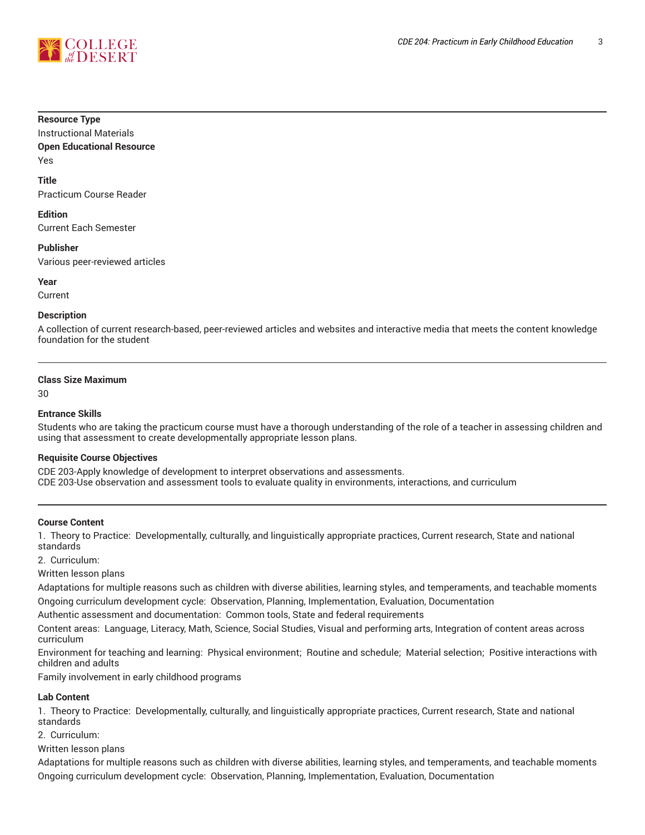

#### **Resource Type**

Instructional Materials **Open Educational Resource** Yes

# **Title**

Practicum Course Reader

### **Edition**

Current Each Semester

**Publisher** Various peer-reviewed articles

**Year**

Current

#### **Description**

A collection of current research-based, peer-reviewed articles and websites and interactive media that meets the content knowledge foundation for the student

#### **Class Size Maximum**

30

## **Entrance Skills**

Students who are taking the practicum course must have a thorough understanding of the role of a teacher in assessing children and using that assessment to create developmentally appropriate lesson plans.

# **Requisite Course Objectives**

CDE 203-Apply knowledge of development to interpret observations and assessments. CDE 203-Use observation and assessment tools to evaluate quality in environments, interactions, and curriculum

# **Course Content**

1. Theory to Practice: Developmentally, culturally, and linguistically appropriate practices, Current research, State and national standards

2. Curriculum:

Written lesson plans

Adaptations for multiple reasons such as children with diverse abilities, learning styles, and temperaments, and teachable moments Ongoing curriculum development cycle: Observation, Planning, Implementation, Evaluation, Documentation

Authentic assessment and documentation: Common tools, State and federal requirements

Content areas: Language, Literacy, Math, Science, Social Studies, Visual and performing arts, Integration of content areas across curriculum

Environment for teaching and learning: Physical environment; Routine and schedule; Material selection; Positive interactions with children and adults

Family involvement in early childhood programs

# **Lab Content**

1. Theory to Practice: Developmentally, culturally, and linguistically appropriate practices, Current research, State and national standards

2. Curriculum:

Written lesson plans

Adaptations for multiple reasons such as children with diverse abilities, learning styles, and temperaments, and teachable moments Ongoing curriculum development cycle: Observation, Planning, Implementation, Evaluation, Documentation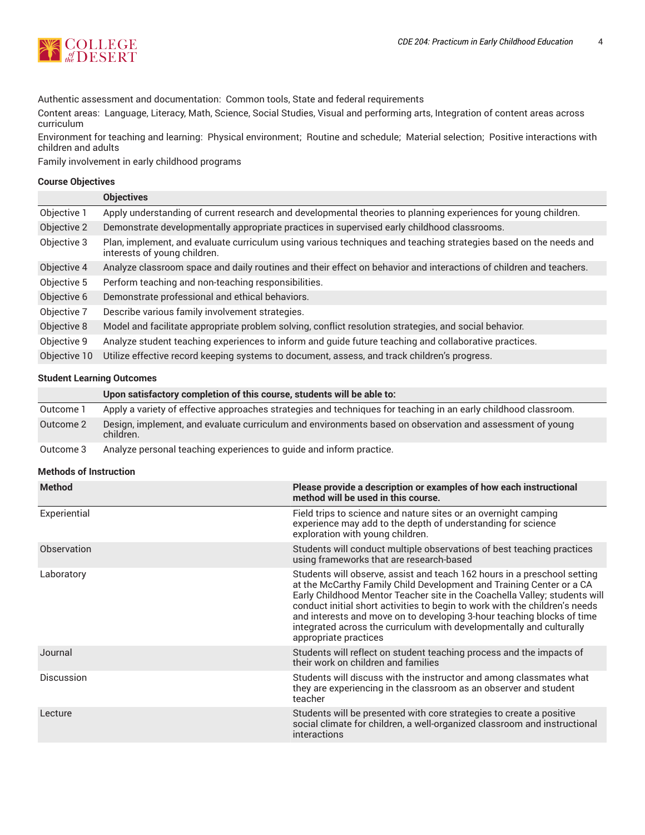

Authentic assessment and documentation: Common tools, State and federal requirements

Content areas: Language, Literacy, Math, Science, Social Studies, Visual and performing arts, Integration of content areas across curriculum

Environment for teaching and learning: Physical environment; Routine and schedule; Material selection; Positive interactions with children and adults

Family involvement in early childhood programs

# **Course Objectives**

|              | <b>Objectives</b>                                                                                                                                |
|--------------|--------------------------------------------------------------------------------------------------------------------------------------------------|
| Objective 1  | Apply understanding of current research and developmental theories to planning experiences for young children.                                   |
| Objective 2  | Demonstrate developmentally appropriate practices in supervised early childhood classrooms.                                                      |
| Objective 3  | Plan, implement, and evaluate curriculum using various techniques and teaching strategies based on the needs and<br>interests of young children. |
| Objective 4  | Analyze classroom space and daily routines and their effect on behavior and interactions of children and teachers.                               |
| Objective 5  | Perform teaching and non-teaching responsibilities.                                                                                              |
| Objective 6  | Demonstrate professional and ethical behaviors.                                                                                                  |
| Objective 7  | Describe various family involvement strategies.                                                                                                  |
| Objective 8  | Model and facilitate appropriate problem solving, conflict resolution strategies, and social behavior.                                           |
| Objective 9  | Analyze student teaching experiences to inform and guide future teaching and collaborative practices.                                            |
| Objective 10 | Utilize effective record keeping systems to document, assess, and track children's progress.                                                     |

# **Student Learning Outcomes**

|  |  | Upon satisfactory completion of this course, students will be able to: |
|--|--|------------------------------------------------------------------------|
|--|--|------------------------------------------------------------------------|

| Outcome 1 | Apply a variety of effective approaches strategies and techniques for teaching in an early childhood classroom.       |
|-----------|-----------------------------------------------------------------------------------------------------------------------|
| Outcome 2 | Design, implement, and evaluate curriculum and environments based on observation and assessment of young<br>children. |
| Outcome 3 | Analyze personal teaching experiences to guide and inform practice.                                                   |

# **Methods of Instruction**

| <b>Method</b>     | Please provide a description or examples of how each instructional<br>method will be used in this course.                                                                                                                                                                                                                                                                                                                                                                                |
|-------------------|------------------------------------------------------------------------------------------------------------------------------------------------------------------------------------------------------------------------------------------------------------------------------------------------------------------------------------------------------------------------------------------------------------------------------------------------------------------------------------------|
| Experiential      | Field trips to science and nature sites or an overnight camping<br>experience may add to the depth of understanding for science<br>exploration with young children.                                                                                                                                                                                                                                                                                                                      |
| Observation       | Students will conduct multiple observations of best teaching practices<br>using frameworks that are research-based                                                                                                                                                                                                                                                                                                                                                                       |
| Laboratory        | Students will observe, assist and teach 162 hours in a preschool setting<br>at the McCarthy Family Child Development and Training Center or a CA<br>Early Childhood Mentor Teacher site in the Coachella Valley; students will<br>conduct initial short activities to begin to work with the children's needs<br>and interests and move on to developing 3-hour teaching blocks of time<br>integrated across the curriculum with developmentally and culturally<br>appropriate practices |
| Journal           | Students will reflect on student teaching process and the impacts of<br>their work on children and families                                                                                                                                                                                                                                                                                                                                                                              |
| <b>Discussion</b> | Students will discuss with the instructor and among classmates what<br>they are experiencing in the classroom as an observer and student<br>teacher                                                                                                                                                                                                                                                                                                                                      |
| Lecture           | Students will be presented with core strategies to create a positive<br>social climate for children, a well-organized classroom and instructional<br>interactions                                                                                                                                                                                                                                                                                                                        |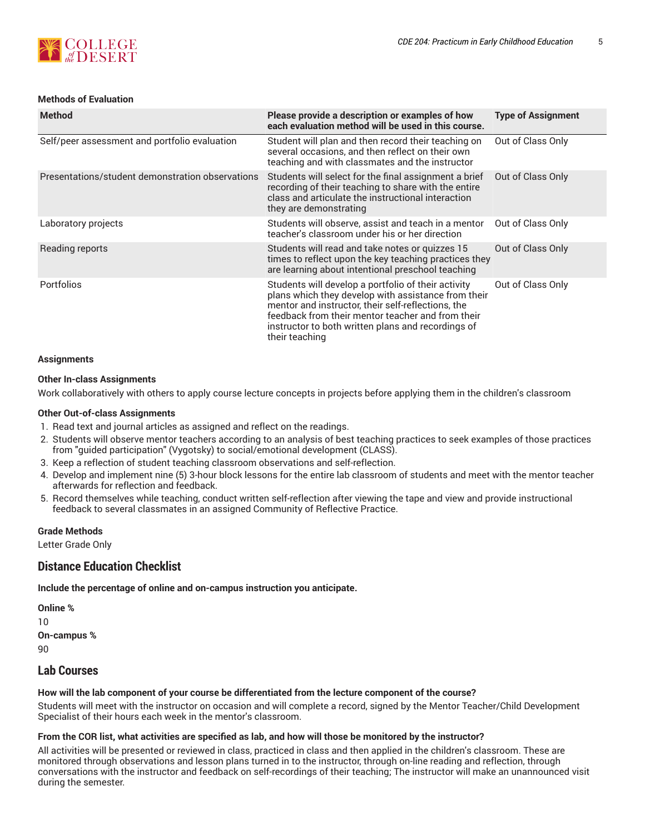

# **Methods of Evaluation**

| <b>Method</b>                                    | Please provide a description or examples of how<br>each evaluation method will be used in this course.                                                                                                                                                                                        | <b>Type of Assignment</b> |
|--------------------------------------------------|-----------------------------------------------------------------------------------------------------------------------------------------------------------------------------------------------------------------------------------------------------------------------------------------------|---------------------------|
| Self/peer assessment and portfolio evaluation    | Student will plan and then record their teaching on<br>several occasions, and then reflect on their own<br>teaching and with classmates and the instructor                                                                                                                                    | Out of Class Only         |
| Presentations/student demonstration observations | Students will select for the final assignment a brief<br>recording of their teaching to share with the entire<br>class and articulate the instructional interaction<br>they are demonstrating                                                                                                 | Out of Class Only         |
| Laboratory projects                              | Students will observe, assist and teach in a mentor<br>teacher's classroom under his or her direction                                                                                                                                                                                         | Out of Class Only         |
| Reading reports                                  | Students will read and take notes or quizzes 15<br>times to reflect upon the key teaching practices they<br>are learning about intentional preschool teaching                                                                                                                                 | Out of Class Only         |
| <b>Portfolios</b>                                | Students will develop a portfolio of their activity<br>plans which they develop with assistance from their<br>mentor and instructor, their self-reflections, the<br>feedback from their mentor teacher and from their<br>instructor to both written plans and recordings of<br>their teaching | Out of Class Only         |

#### **Assignments**

#### **Other In-class Assignments**

Work collaboratively with others to apply course lecture concepts in projects before applying them in the children's classroom

#### **Other Out-of-class Assignments**

- 1. Read text and journal articles as assigned and reflect on the readings.
- 2. Students will observe mentor teachers according to an analysis of best teaching practices to seek examples of those practices from "guided participation" (Vygotsky) to social/emotional development (CLASS).
- 3. Keep a reflection of student teaching classroom observations and self-reflection.
- 4. Develop and implement nine (5) 3-hour block lessons for the entire lab classroom of students and meet with the mentor teacher afterwards for reflection and feedback.
- 5. Record themselves while teaching, conduct written self-reflection after viewing the tape and view and provide instructional feedback to several classmates in an assigned Community of Reflective Practice.

#### **Grade Methods**

Letter Grade Only

# **Distance Education Checklist**

**Include the percentage of online and on-campus instruction you anticipate.**

**Online %** 10 **On-campus %** 90

# **Lab Courses**

# **How will the lab component of your course be differentiated from the lecture component of the course?**

Students will meet with the instructor on occasion and will complete a record, signed by the Mentor Teacher/Child Development Specialist of their hours each week in the mentor's classroom.

# From the COR list, what activities are specified as lab, and how will those be monitored by the instructor?

All activities will be presented or reviewed in class, practiced in class and then applied in the children's classroom. These are monitored through observations and lesson plans turned in to the instructor, through on-line reading and reflection, through conversations with the instructor and feedback on self-recordings of their teaching; The instructor will make an unannounced visit during the semester.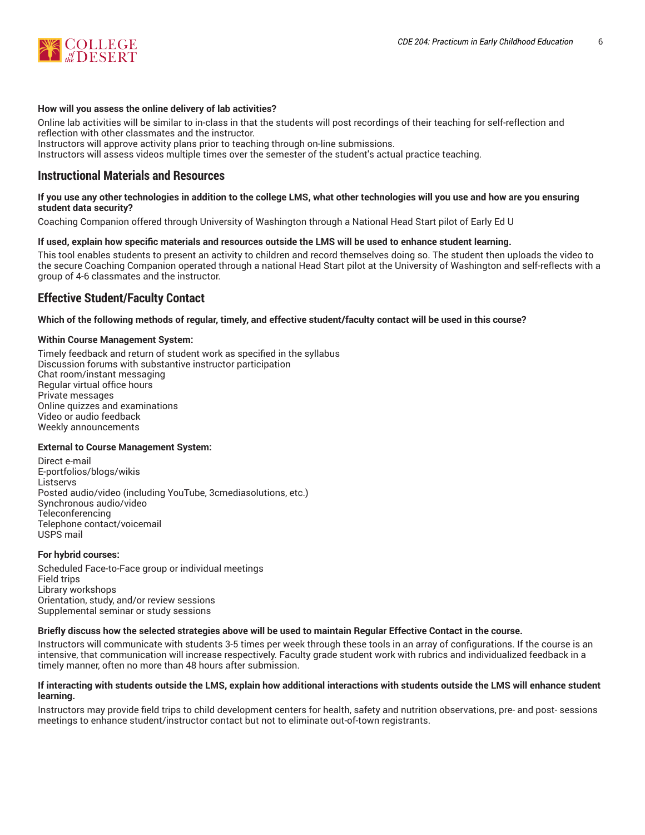

#### **How will you assess the online delivery of lab activities?**

Online lab activities will be similar to in-class in that the students will post recordings of their teaching for self-reflection and reflection with other classmates and the instructor. Instructors will approve activity plans prior to teaching through on-line submissions.

Instructors will assess videos multiple times over the semester of the student's actual practice teaching.

# **Instructional Materials and Resources**

### If you use any other technologies in addition to the college LMS, what other technologies will you use and how are you ensuring **student data security?**

Coaching Companion offered through University of Washington through a National Head Start pilot of Early Ed U

# **If used, explain how specific materials and resources outside the LMS will be used to enhance student learning.**

This tool enables students to present an activity to children and record themselves doing so. The student then uploads the video to the secure Coaching Companion operated through a national Head Start pilot at the University of Washington and self-reflects with a group of 4-6 classmates and the instructor.

# **Effective Student/Faculty Contact**

#### Which of the following methods of regular, timely, and effective student/faculty contact will be used in this course?

#### **Within Course Management System:**

Timely feedback and return of student work as specified in the syllabus Discussion forums with substantive instructor participation Chat room/instant messaging Regular virtual office hours Private messages Online quizzes and examinations Video or audio feedback Weekly announcements

# **External to Course Management System:**

Direct e-mail E-portfolios/blogs/wikis Listservs Posted audio/video (including YouTube, 3cmediasolutions, etc.) Synchronous audio/video **Teleconferencing** Telephone contact/voicemail USPS mail

#### **For hybrid courses:**

Scheduled Face-to-Face group or individual meetings Field trips Library workshops Orientation, study, and/or review sessions Supplemental seminar or study sessions

#### Briefly discuss how the selected strategies above will be used to maintain Regular Effective Contact in the course.

Instructors will communicate with students 3-5 times per week through these tools in an array of configurations. If the course is an intensive, that communication will increase respectively. Faculty grade student work with rubrics and individualized feedback in a timely manner, often no more than 48 hours after submission.

#### **If interacting with students outside the LMS, explain how additional interactions with students outside the LMS will enhance student learning.**

Instructors may provide field trips to child development centers for health, safety and nutrition observations, pre- and post- sessions meetings to enhance student/instructor contact but not to eliminate out-of-town registrants.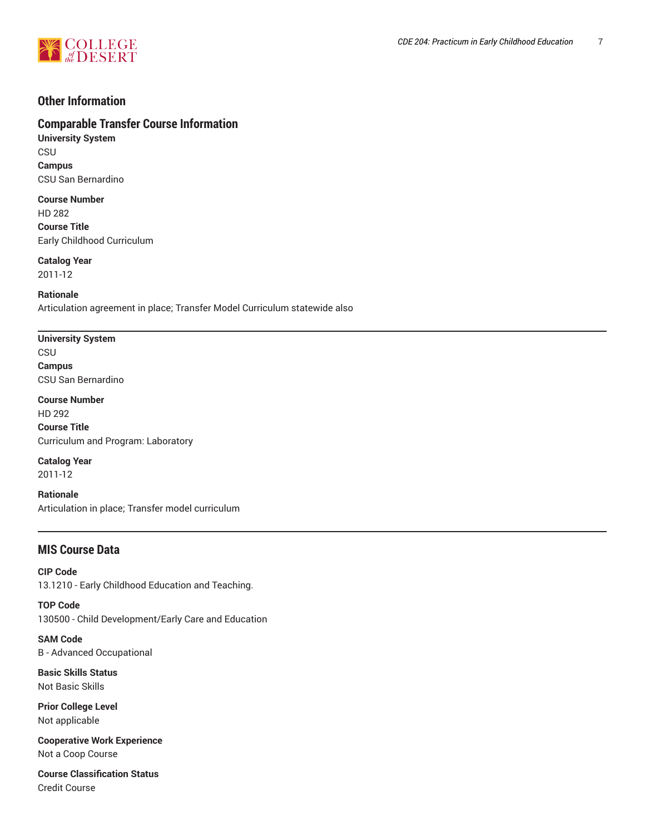

# **Other Information**

# **Comparable Transfer Course Information**

**University System** CSU **Campus** CSU San Bernardino

**Course Number** HD 282 **Course Title** Early Childhood Curriculum

**Catalog Year** 2011-12

**Rationale** Articulation agreement in place; Transfer Model Curriculum statewide also

# **University System**

**CSU Campus** CSU San Bernardino

**Course Number** HD 292 **Course Title** Curriculum and Program: Laboratory

**Catalog Year** 2011-12

**Rationale** Articulation in place; Transfer model curriculum

# **MIS Course Data**

**CIP Code** 13.1210 - Early Childhood Education and Teaching.

**TOP Code** 130500 - Child Development/Early Care and Education

**SAM Code** B - Advanced Occupational

**Basic Skills Status** Not Basic Skills

**Prior College Level** Not applicable

**Cooperative Work Experience** Not a Coop Course

**Course Classification Status** Credit Course